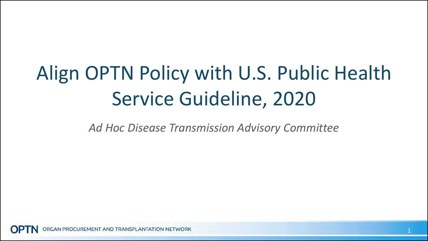# Align OPTN Policy with U.S. Public Health Service Guideline, 2020

*Ad Hoc Disease Transmission Advisory Committee*

GAN PROCUREMENT AND TRANSPLANTATION NETWORK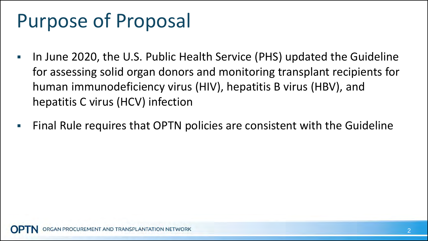### Purpose of Proposal

- In June 2020, the U.S. Public Health Service (PHS) updated the Guideline for assessing solid organ donors and monitoring transplant recipients for human immunodeficiency virus (HIV), hepatitis B virus (HBV), and hepatitis C virus (HCV) infection
- Final Rule requires that OPTN policies are consistent with the Guideline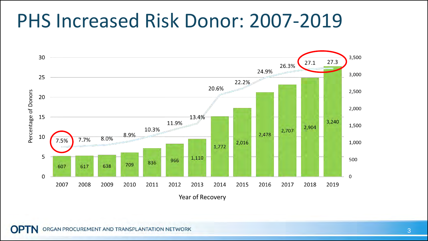### PHS Increased Risk Donor: 2007-2019

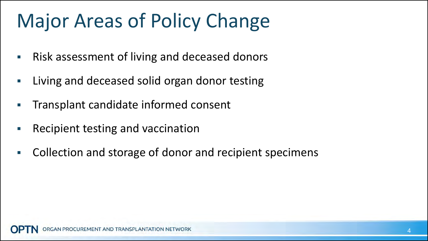## Major Areas of Policy Change

- **Risk assessment of living and deceased donors**
- Living and deceased solid organ donor testing
- Transplant candidate informed consent
- Recipient testing and vaccination
- Collection and storage of donor and recipient specimens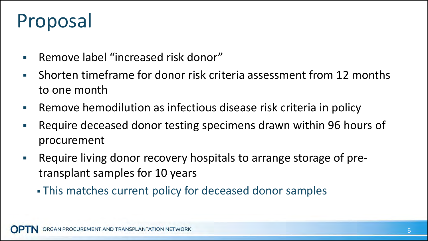## Proposal

- **Remove label "increased risk donor"**
- Shorten timeframe for donor risk criteria assessment from 12 months to one month
- Remove hemodilution as infectious disease risk criteria in policy
- Require deceased donor testing specimens drawn within 96 hours of procurement
- **Require living donor recovery hospitals to arrange storage of pre**transplant samples for 10 years
	- This matches current policy for deceased donor samples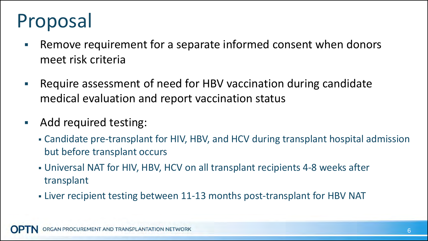## Proposal

- **Remove requirement for a separate informed consent when donors** meet risk criteria
- Require assessment of need for HBV vaccination during candidate medical evaluation and report vaccination status
- **Add required testing:** 
	- Candidate pre-transplant for HIV, HBV, and HCV during transplant hospital admission but before transplant occurs
	- Universal NAT for HIV, HBV, HCV on all transplant recipients 4-8 weeks after transplant
	- Liver recipient testing between 11-13 months post-transplant for HBV NAT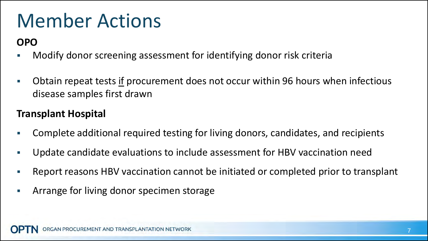### Member Actions

#### **OPO**

- Modify donor screening assessment for identifying donor risk criteria
- Obtain repeat tests if procurement does not occur within 96 hours when infectious disease samples first drawn

#### **Transplant Hospital**

- Complete additional required testing for living donors, candidates, and recipients
- Update candidate evaluations to include assessment for HBV vaccination need
- Report reasons HBV vaccination cannot be initiated or completed prior to transplant
- Arrange for living donor specimen storage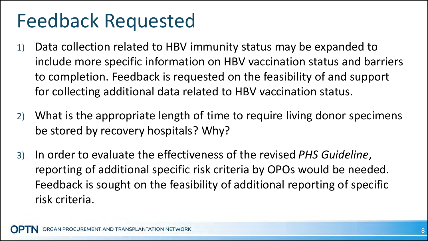### Feedback Requested

- 1) Data collection related to HBV immunity status may be expanded to include more specific information on HBV vaccination status and barriers to completion. Feedback is requested on the feasibility of and support for collecting additional data related to HBV vaccination status.
- 2) What is the appropriate length of time to require living donor specimens be stored by recovery hospitals? Why?
- 3) In order to evaluate the effectiveness of the revised *PHS Guideline*, reporting of additional specific risk criteria by OPOs would be needed. Feedback is sought on the feasibility of additional reporting of specific risk criteria.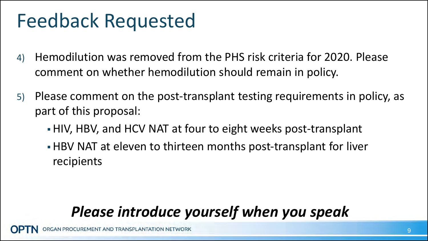### Feedback Requested

- 4) Hemodilution was removed from the PHS risk criteria for 2020. Please comment on whether hemodilution should remain in policy.
- 5) Please comment on the post-transplant testing requirements in policy, as part of this proposal:
	- HIV, HBV, and HCV NAT at four to eight weeks post-transplant
	- HBV NAT at eleven to thirteen months post-transplant for liver recipients

### *Please introduce yourself when you speak*

OCUREMENT AND TRANSPLANTATION NETWORK